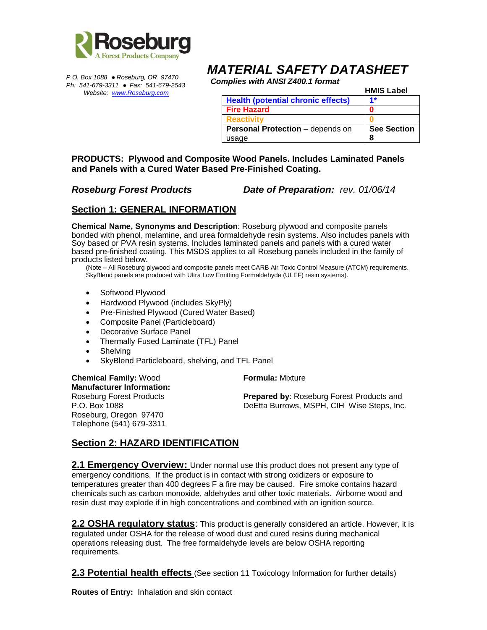

*P.O. Box 1088 ● Roseburg, OR 97470 Ph: 541-679-3311 ● Fax: 541-679-2543 Website: [www.Roseburg.com](http://www.roseburg.com/)*

# *MATERIAL SAFETY DATASHEET*

 *Complies with ANSI Z400.1 format*

 **HMIS Label**

| <b>Health (potential chronic effects)</b> | $4*$               |
|-------------------------------------------|--------------------|
| <b>Fire Hazard</b>                        | 0                  |
| <b>Reactivity</b>                         |                    |
| <b>Personal Protection</b> - depends on   | <b>See Section</b> |
| usage                                     | 8                  |

**PRODUCTS: Plywood and Composite Wood Panels. Includes Laminated Panels and Panels with a Cured Water Based Pre-Finished Coating.**

*Roseburg Forest Products Date of Preparation: rev. 01/06/14*

### **Section 1: GENERAL INFORMATION**

**Chemical Name, Synonyms and Description**: Roseburg plywood and composite panels bonded with phenol, melamine, and urea formaldehyde resin systems. Also includes panels with Soy based or PVA resin systems. Includes laminated panels and panels with a cured water based pre-finished coating. This MSDS applies to all Roseburg panels included in the family of products listed below.

(Note – All Roseburg plywood and composite panels meet CARB Air Toxic Control Measure (ATCM) requirements. SkyBlend panels are produced with Ultra Low Emitting Formaldehyde (ULEF) resin systems).

- Softwood Plywood
- Hardwood Plywood (includes SkyPly)
- Pre-Finished Plywood (Cured Water Based)
- Composite Panel (Particleboard)
- Decorative Surface Panel
- Thermally Fused Laminate (TFL) Panel
- Shelving
- SkyBlend Particleboard, shelving, and TFL Panel

**Chemical Family:** Wood **Formula: Mixture Manufacturer Information:** Roseburg, Oregon 97470 Telephone (541) 679-3311

Roseburg Forest Products **Prepared by**: Roseburg Forest Products and P.O. Box 1088 DeEtta Burrows, MSPH, CIH Wise Steps, Inc.

# **Section 2: HAZARD IDENTIFICATION**

**2.1 Emergency Overview:** Under normal use this product does not present any type of emergency conditions. If the product is in contact with strong oxidizers or exposure to temperatures greater than 400 degrees F a fire may be caused. Fire smoke contains hazard chemicals such as carbon monoxide, aldehydes and other toxic materials. Airborne wood and resin dust may explode if in high concentrations and combined with an ignition source.

**2.2 OSHA regulatory status**: This product is generally considered an article. However, it is regulated under OSHA for the release of wood dust and cured resins during mechanical operations releasing dust. The free formaldehyde levels are below OSHA reporting requirements.

**2.3 Potential health effects** (See section 11 Toxicology Information for further details)

**Routes of Entry:** Inhalation and skin contact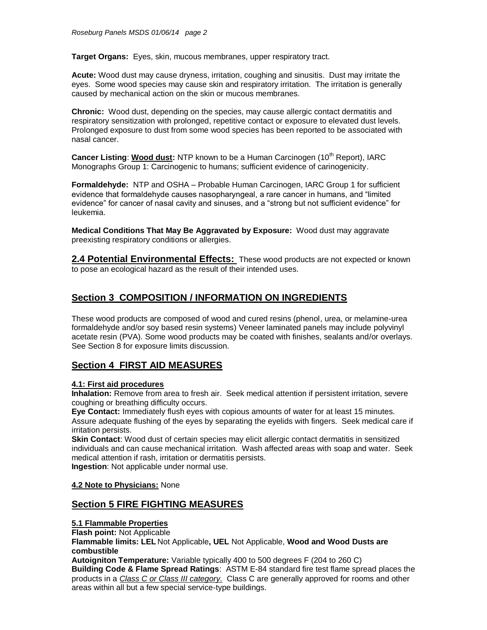**Target Organs:** Eyes, skin, mucous membranes, upper respiratory tract.

**Acute:** Wood dust may cause dryness, irritation, coughing and sinusitis. Dust may irritate the eyes. Some wood species may cause skin and respiratory irritation. The irritation is generally caused by mechanical action on the skin or mucous membranes.

**Chronic:** Wood dust, depending on the species, may cause allergic contact dermatitis and respiratory sensitization with prolonged, repetitive contact or exposure to elevated dust levels. Prolonged exposure to dust from some wood species has been reported to be associated with nasal cancer.

**Cancer Listing: Wood dust: NTP known to be a Human Carcinogen (10<sup>th</sup> Report), IARC** Monographs Group 1: Carcinogenic to humans; sufficient evidence of carinogenicity.

**Formaldehyde:** NTP and OSHA – Probable Human Carcinogen, IARC Group 1 for sufficient evidence that formaldehyde causes nasopharyngeal, a rare cancer in humans, and "limited evidence" for cancer of nasal cavity and sinuses, and a "strong but not sufficient evidence" for leukemia.

**Medical Conditions That May Be Aggravated by Exposure:** Wood dust may aggravate preexisting respiratory conditions or allergies.

**2.4 Potential Environmental Effects:** These wood products are not expected or known to pose an ecological hazard as the result of their intended uses.

### **Section 3 COMPOSITION / INFORMATION ON INGREDIENTS**

These wood products are composed of wood and cured resins (phenol, urea, or melamine-urea formaldehyde and/or soy based resin systems) Veneer laminated panels may include polyvinyl acetate resin (PVA). Some wood products may be coated with finishes, sealants and/or overlays. See Section 8 for exposure limits discussion.

#### **Section 4 FIRST AID MEASURES**

#### **4.1: First aid procedures**

**Inhalation:** Remove from area to fresh air. Seek medical attention if persistent irritation, severe coughing or breathing difficulty occurs.

**Eye Contact:** Immediately flush eyes with copious amounts of water for at least 15 minutes. Assure adequate flushing of the eyes by separating the eyelids with fingers. Seek medical care if irritation persists.

**Skin Contact**: Wood dust of certain species may elicit allergic contact dermatitis in sensitized individuals and can cause mechanical irritation. Wash affected areas with soap and water. Seek medical attention if rash, irritation or dermatitis persists. **Ingestion**: Not applicable under normal use.

#### **4.2 Note to Physicians:** None

#### **Section 5 FIRE FIGHTING MEASURES**

#### **5.1 Flammable Properties**

**Flash point:** Not Applicable

**Flammable limits: LEL** Not Applicable**, UEL** Not Applicable, **Wood and Wood Dusts are combustible**

**Autoigniton Temperature:** Variable typically 400 to 500 degrees F (204 to 260 C) **Building Code & Flame Spread Ratings**: ASTM E-84 standard fire test flame spread places the products in a *Class C or Class III category.* Class C are generally approved for rooms and other areas within all but a few special service-type buildings.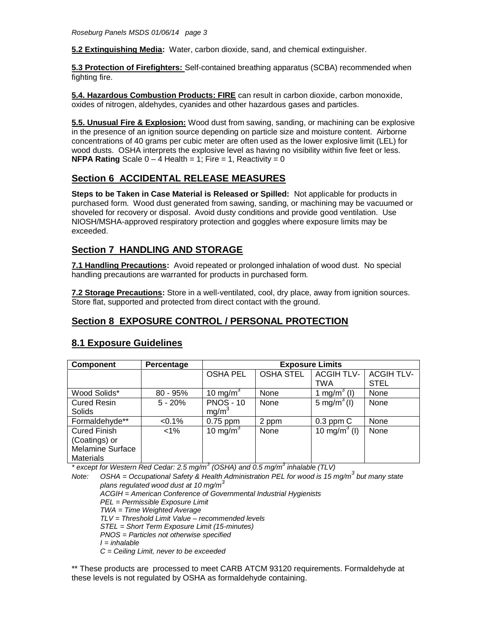**5.2 Extinguishing Media:** Water, carbon dioxide, sand, and chemical extinguisher.

**5.3 Protection of Firefighters:** Self-contained breathing apparatus (SCBA) recommended when fighting fire.

**5.4. Hazardous Combustion Products: FIRE** can result in carbon dioxide, carbon monoxide, oxides of nitrogen, aldehydes, cyanides and other hazardous gases and particles.

**5.5. Unusual Fire & Explosion:** Wood dust from sawing, sanding, or machining can be explosive in the presence of an ignition source depending on particle size and moisture content. Airborne concentrations of 40 grams per cubic meter are often used as the lower explosive limit (LEL) for wood dusts. OSHA interprets the explosive level as having no visibility within five feet or less. **NFPA Rating** Scale  $0 - 4$  Health = 1; Fire = 1, Reactivity = 0

# **Section 6 ACCIDENTAL RELEASE MEASURES**

**Steps to be Taken in Case Material is Released or Spilled:** Not applicable for products in purchased form. Wood dust generated from sawing, sanding, or machining may be vacuumed or shoveled for recovery or disposal. Avoid dusty conditions and provide good ventilation. Use NIOSH/MSHA-approved respiratory protection and goggles where exposure limits may be exceeded.

# **Section 7 HANDLING AND STORAGE**

**7.1 Handling Precautions:** Avoid repeated or prolonged inhalation of wood dust. No special handling precautions are warranted for products in purchased form.

**7.2 Storage Precautions:** Store in a well-ventilated, cool, dry place, away from ignition sources. Store flat, supported and protected from direct contact with the ground.

# **Section 8 EXPOSURE CONTROL / PERSONAL PROTECTION**

### **8.1 Exposure Guidelines**

| <b>Component</b>        | Percentage | <b>Exposure Limits</b> |                  |                          |                  |
|-------------------------|------------|------------------------|------------------|--------------------------|------------------|
|                         |            | <b>OSHA PEL</b>        | <b>OSHA STEL</b> | <b>ACGIH TLV-</b>        | <b>ACGIHTLV-</b> |
|                         |            |                        |                  | TWA                      | <b>STEL</b>      |
| Wood Solids*            | $80 - 95%$ | 10 mg/m <sup>3</sup>   | None             | 1 mg/m <sup>3</sup> (l)  | None             |
| <b>Cured Resin</b>      | $5 - 20%$  | <b>PNOS - 10</b>       | None             | 5 mg/m <sup>3</sup> (l)  | None             |
| Solids                  |            | mg/m <sup>3</sup>      |                  |                          |                  |
| Formaldehyde**          | $< 0.1\%$  | $0.75$ ppm             | 2 ppm            | $0.3$ ppm $C$            | None             |
| <b>Cured Finish</b>     | $1\%$      | 10 mg/m <sup>3</sup>   | None             | 10 mg/m <sup>3</sup> (l) | None             |
| (Coatings) or           |            |                        |                  |                          |                  |
| <b>Melamine Surface</b> |            |                        |                  |                          |                  |
| <b>Materials</b>        |            |                        |                  |                          |                  |

*\* except for Western Red Cedar: 2.5 mg/m<sup>3</sup> (OSHA) and 0.5 mg/m<sup>3</sup> inhalable (TLV)*

*Note: OSHA = Occupational Safety & Health Administration PEL for wood is 15 mg/m<sup>3</sup> but many state plans regulated wood dust at 10 mg/m<sup>3</sup> ACGIH = American Conference of Governmental Industrial Hygienists PEL = Permissible Exposure Limit TWA = Time Weighted Average TLV = Threshold Limit Value – recommended levels STEL = Short Term Exposure Limit (15-minutes) PNOS = Particles not otherwise specified I = inhalable C = Ceiling Limit, never to be exceeded*

\*\* These products are processed to meet CARB ATCM 93120 requirements. Formaldehyde at these levels is not regulated by OSHA as formaldehyde containing.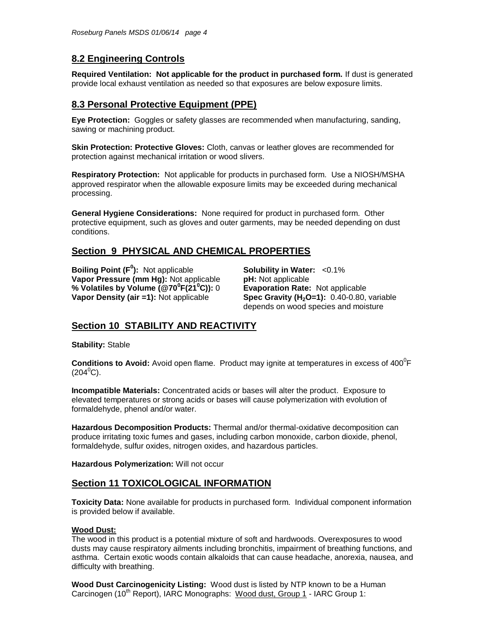# **8.2 Engineering Controls**

**Required Ventilation: Not applicable for the product in purchased form.** If dust is generated provide local exhaust ventilation as needed so that exposures are below exposure limits.

#### **8.3 Personal Protective Equipment (PPE)**

**Eye Protection:** Goggles or safety glasses are recommended when manufacturing, sanding, sawing or machining product.

**Skin Protection: Protective Gloves:** Cloth, canvas or leather gloves are recommended for protection against mechanical irritation or wood slivers.

**Respiratory Protection:** Not applicable for products in purchased form.Use a NIOSH/MSHA approved respirator when the allowable exposure limits may be exceeded during mechanical processing.

**General Hygiene Considerations:** None required for product in purchased form. Other protective equipment, such as gloves and outer garments, may be needed depending on dust conditions.

### **Section 9 PHYSICAL AND CHEMICAL PROPERTIES**

**Boiling Point (F<sup>°</sup>):** Not applicable **Vapor Pressure (mm Hg):** Not applicable **pH:** Not applicable **% Volatiles by Volume (@70<sup>0</sup>F(21<sup>0</sup>C)):** 0<br>Vapor Density (air =1): Not applicable

**Solubility in Water:** <0.1% **Evaporation Rate: Not applicable Spec Gravity (H<sub>2</sub>O=1):** 0.40-0.80, variable depends on wood species and moisture

### **Section 10 STABILITY AND REACTIVITY**

**Stability:** Stable

**Conditions to Avoid:** Avoid open flame. Product may ignite at temperatures in excess of 400<sup>°</sup>F  $(204^0C)$ .

**Incompatible Materials:** Concentrated acids or bases will alter the product. Exposure to elevated temperatures or strong acids or bases will cause polymerization with evolution of formaldehyde, phenol and/or water.

**Hazardous Decomposition Products:** Thermal and/or thermal-oxidative decomposition can produce irritating toxic fumes and gases, including carbon monoxide, carbon dioxide, phenol, formaldehyde, sulfur oxides, nitrogen oxides, and hazardous particles.

**Hazardous Polymerization:** Will not occur

### **Section 11 TOXICOLOGICAL INFORMATION**

**Toxicity Data:** None available for products in purchased form. Individual component information is provided below if available.

#### **Wood Dust:**

The wood in this product is a potential mixture of soft and hardwoods. Overexposures to wood dusts may cause respiratory ailments including bronchitis, impairment of breathing functions, and asthma. Certain exotic woods contain alkaloids that can cause headache, anorexia, nausea, and difficulty with breathing.

**Wood Dust Carcinogenicity Listing:** Wood dust is listed by NTP known to be a Human Carcinogen (10<sup>th</sup> Report), IARC Monographs: Wood dust, Group 1 - IARC Group 1: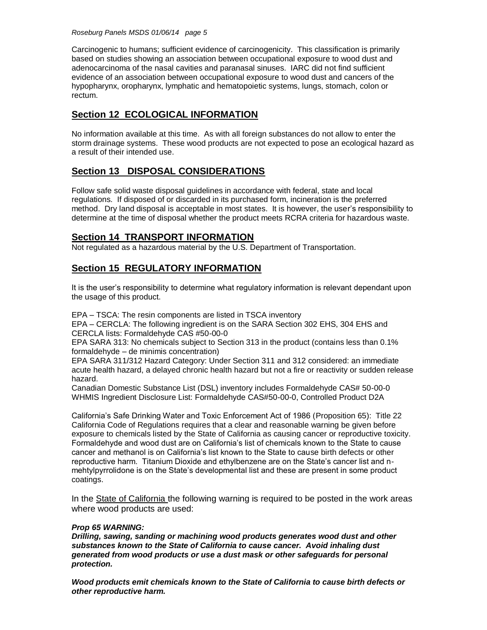Carcinogenic to humans; sufficient evidence of carcinogenicity. This classification is primarily based on studies showing an association between occupational exposure to wood dust and adenocarcinoma of the nasal cavities and paranasal sinuses. IARC did not find sufficient evidence of an association between occupational exposure to wood dust and cancers of the hypopharynx, oropharynx, lymphatic and hematopoietic systems, lungs, stomach, colon or rectum.

# **Section 12 ECOLOGICAL INFORMATION**

No information available at this time. As with all foreign substances do not allow to enter the storm drainage systems. These wood products are not expected to pose an ecological hazard as a result of their intended use.

# **Section 13 DISPOSAL CONSIDERATIONS**

Follow safe solid waste disposal guidelines in accordance with federal, state and local regulations. If disposed of or discarded in its purchased form, incineration is the preferred method. Dry land disposal is acceptable in most states. It is however, the user's responsibility to determine at the time of disposal whether the product meets RCRA criteria for hazardous waste.

### **Section 14 TRANSPORT INFORMATION**

Not regulated as a hazardous material by the U.S. Department of Transportation.

# **Section 15 REGULATORY INFORMATION**

It is the user's responsibility to determine what regulatory information is relevant dependant upon the usage of this product.

EPA – TSCA: The resin components are listed in TSCA inventory

EPA – CERCLA: The following ingredient is on the SARA Section 302 EHS, 304 EHS and CERCLA lists: Formaldehyde CAS #50-00-0

EPA SARA 313: No chemicals subject to Section 313 in the product (contains less than 0.1% formaldehyde – de minimis concentration)

EPA SARA 311/312 Hazard Category: Under Section 311 and 312 considered: an immediate acute health hazard, a delayed chronic health hazard but not a fire or reactivity or sudden release hazard.

Canadian Domestic Substance List (DSL) inventory includes Formaldehyde CAS# 50-00-0 WHMIS Ingredient Disclosure List: Formaldehyde CAS#50-00-0, Controlled Product D2A

California's Safe Drinking Water and Toxic Enforcement Act of 1986 (Proposition 65): Title 22 California Code of Regulations requires that a clear and reasonable warning be given before exposure to chemicals listed by the State of California as causing cancer or reproductive toxicity. Formaldehyde and wood dust are on California's list of chemicals known to the State to cause cancer and methanol is on California's list known to the State to cause birth defects or other reproductive harm. Titanium Dioxide and ethylbenzene are on the State's cancer list and nmehtylpyrrolidone is on the State's developmental list and these are present in some product coatings.

In the State of California the following warning is required to be posted in the work areas where wood products are used:

#### *Prop 65 WARNING:*

*Drilling, sawing, sanding or machining wood products generates wood dust and other substances known to the State of California to cause cancer. Avoid inhaling dust generated from wood products or use a dust mask or other safeguards for personal protection.*

*Wood products emit chemicals known to the State of California to cause birth defects or other reproductive harm.*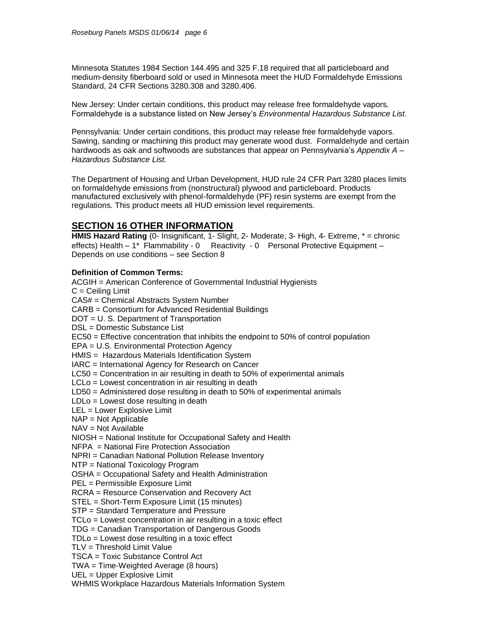Minnesota Statutes 1984 Section 144.495 and 325 F.18 required that all particleboard and medium-density fiberboard sold or used in Minnesota meet the HUD Formaldehyde Emissions Standard, 24 CFR Sections 3280.308 and 3280.406.

New Jersey: Under certain conditions, this product may release free formaldehyde vapors. Formaldehyde is a substance listed on New Jersey's *Environmental Hazardous Substance List*.

Pennsylvania: Under certain conditions, this product may release free formaldehyde vapors. Sawing, sanding or machining this product may generate wood dust. Formaldehyde and certain hardwoods as oak and softwoods are substances that appear on Pennsylvania's *Appendix A – Hazardous Substance List.*

The Department of Housing and Urban Development, HUD rule 24 CFR Part 3280 places limits on formaldehyde emissions from (nonstructural) plywood and particleboard. Products manufactured exclusively with phenol-formaldehyde (PF) resin systems are exempt from the regulations. This product meets all HUD emission level requirements.

#### **SECTION 16 OTHER INFORMATION**

**HMIS Hazard Rating** (0- Insignificant, 1- Slight, 2- Moderate, 3- High, 4- Extreme, \* = chronic effects) Health – 1\* Flammability - 0 Reactivity - 0 Personal Protective Equipment – Depends on use conditions – see Section 8

#### **Definition of Common Terms:**

ACGIH = American Conference of Governmental Industrial Hygienists  $C =$  Ceiling Limit CAS# = Chemical Abstracts System Number CARB = Consortium for Advanced Residential Buildings DOT = U. S. Department of Transportation DSL = Domestic Substance List EC50 = Effective concentration that inhibits the endpoint to 50% of control population EPA = U.S. Environmental Protection Agency HMIS = Hazardous Materials Identification System IARC = International Agency for Research on Cancer LC50 = Concentration in air resulting in death to 50% of experimental animals LCLo = Lowest concentration in air resulting in death LD50 = Administered dose resulting in death to 50% of experimental animals LDLo = Lowest dose resulting in death LEL = Lower Explosive Limit NAP = Not Applicable  $NAV = Not Available$ NIOSH = National Institute for Occupational Safety and Health NFPA = National Fire Protection Association NPRI = Canadian National Pollution Release Inventory NTP = National Toxicology Program OSHA = Occupational Safety and Health Administration PEL = Permissible Exposure Limit RCRA = Resource Conservation and Recovery Act STEL = Short-Term Exposure Limit (15 minutes) STP = Standard Temperature and Pressure TCLo = Lowest concentration in air resulting in a toxic effect TDG = Canadian Transportation of Dangerous Goods TDLo = Lowest dose resulting in a toxic effect TLV = Threshold Limit Value TSCA = Toxic Substance Control Act TWA = Time-Weighted Average (8 hours) UEL = Upper Explosive Limit WHMIS Workplace Hazardous Materials Information System